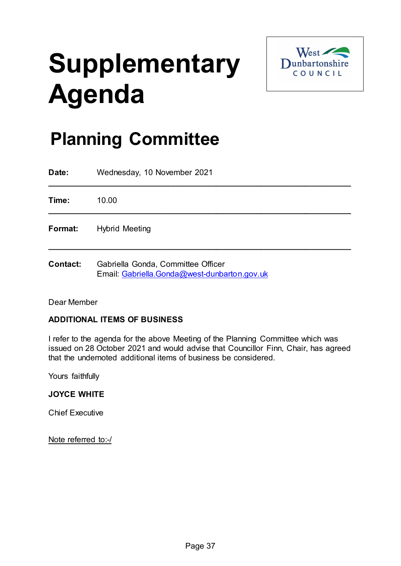# **Supplementary Agenda**



## **Planning Committee**

| Date:           | Wednesday, 10 November 2021        |
|-----------------|------------------------------------|
| Time:           | 10.00                              |
| Format:         | <b>Hybrid Meeting</b>              |
| <b>Contact:</b> | Gabriella Gonda, Committee Officer |

Email: [Gabriella.Gonda@west-dunbarton.gov.uk](mailto:Gabriella.Gonda@west-dunbarton.gov.uk)

Dear Member

### **ADDITIONAL ITEMS OF BUSINESS**

I refer to the agenda for the above Meeting of the Planning Committee which was issued on 28 October 2021 and would advise that Councillor Finn, Chair, has agreed that the undernoted additional items of business be considered.

Yours faithfully

#### **JOYCE WHITE**

Chief Executive

Note referred to:-/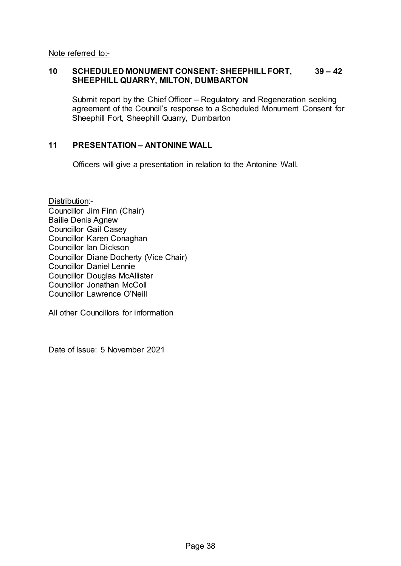Note referred to:-

#### **10 SCHEDULED MONUMENT CONSENT: SHEEPHILL FORT, 39 – 42 SHEEPHILL QUARRY, MILTON, DUMBARTON**

Submit report by the Chief Officer – Regulatory and Regeneration seeking agreement of the Council's response to a Scheduled Monument Consent for Sheephill Fort, Sheephill Quarry, Dumbarton

#### **11 PRESENTATION – ANTONINE WALL**

Officers will give a presentation in relation to the Antonine Wall.

Distribution:-Councillor Jim Finn (Chair) Bailie Denis Agnew Councillor Gail Casey Councillor Karen Conaghan Councillor Ian Dickson Councillor Diane Docherty (Vice Chair) Councillor Daniel Lennie Councillor Douglas McAllister Councillor Jonathan McColl Councillor Lawrence O'Neill

All other Councillors for information

Date of Issue: 5 November 2021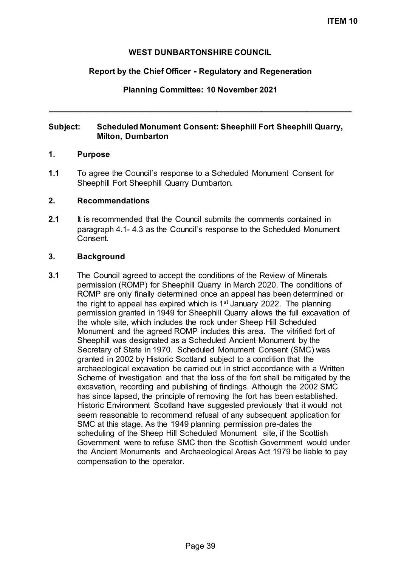#### **WEST DUNBARTONSHIRE COUNCIL**

#### **Report by the Chief Officer - Regulatory and Regeneration**

#### **Planning Committee: 10 November 2021**

**\_\_\_\_\_\_\_\_\_\_\_\_\_\_\_\_\_\_\_\_\_\_\_\_\_\_\_\_\_\_\_\_\_\_\_\_\_\_\_\_\_\_\_\_\_\_\_\_\_\_\_\_\_\_\_\_\_\_\_\_\_\_\_\_\_\_\_**

#### **Subject: Scheduled Monument Consent: Sheephill Fort Sheephill Quarry, Milton, Dumbarton**

#### **1. Purpose**

**1.1** To agree the Council's response to a Scheduled Monument Consent for Sheephill Fort Sheephill Quarry Dumbarton.

#### **2. Recommendations**

**2.1** It is recommended that the Council submits the comments contained in paragraph 4.1- 4.3 as the Council's response to the Scheduled Monument Consent.

#### **3. Background**

**3.1** The Council agreed to accept the conditions of the Review of Minerals permission (ROMP) for Sheephill Quarry in March 2020. The conditions of ROMP are only finally determined once an appeal has been determined or the right to appeal has expired which is  $1<sup>st</sup>$  January 2022. The planning permission granted in 1949 for Sheephill Quarry allows the full excavation of the whole site, which includes the rock under Sheep Hill Scheduled Monument and the agreed ROMP includes this area. The vitrified fort of Sheephill was designated as a Scheduled Ancient Monument by the Secretary of State in 1970. Scheduled Monument Consent (SMC) was granted in 2002 by Historic Scotland subject to a condition that the archaeological excavation be carried out in strict accordance with a Written Scheme of Investigation and that the loss of the fort shall be mitigated by the excavation, recording and publishing of findings. Although the 2002 SMC has since lapsed, the principle of removing the fort has been established. Historic Environment Scotland have suggested previously that it would not seem reasonable to recommend refusal of any subsequent application for SMC at this stage. As the 1949 planning permission pre-dates the scheduling of the Sheep Hill Scheduled Monument site, if the Scottish Government were to refuse SMC then the Scottish Government would under the Ancient Monuments and Archaeological Areas Act 1979 be liable to pay compensation to the operator.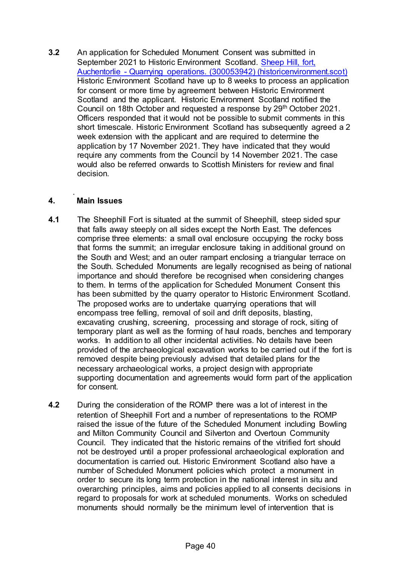**3.2** An application for Scheduled Monument Consent was submitted in September 2021 to Historic Environment Scotland. Sheep Hill, fort, [Auchentorlie - Quarrying operations. \(300053942\) \(historicenvironment.scot\)](https://portal.historicenvironment.scot/decision/900037619) Historic Environment Scotland have up to 8 weeks to process an application for consent or more time by agreement between Historic Environment Scotland and the applicant. Historic Environment Scotland notified the Council on 18th October and requested a response by 29th October 2021. Officers responded that it would not be possible to submit comments in this short timescale. Historic Environment Scotland has subsequently agreed a 2 week extension with the applicant and are required to determine the application by 17 November 2021. They have indicated that they would require any comments from the Council by 14 November 2021. The case would also be referred onwards to Scottish Ministers for review and final decision.

#### . **4. Main Issues**

- **4.1** The Sheephill Fort is situated at the summit of Sheephill, steep sided spur that falls away steeply on all sides except the North East. The defences comprise three elements: a small oval enclosure occupying the rocky boss that forms the summit; an irregular enclosure taking in additional ground on the South and West; and an outer rampart enclosing a triangular terrace on the South. Scheduled Monuments are legally recognised as being of national importance and should therefore be recognised when considering changes to them. In terms of the application for Scheduled Monument Consent this has been submitted by the quarry operator to Historic Environment Scotland. The proposed works are to undertake quarrying operations that will encompass tree felling, removal of soil and drift deposits, blasting, excavating crushing, screening, processing and storage of rock, siting of temporary plant as well as the forming of haul roads, benches and temporary works. In addition to all other incidental activities. No details have been provided of the archaeological excavation works to be carried out if the fort is removed despite being previously advised that detailed plans for the necessary archaeological works, a project design with appropriate supporting documentation and agreements would form part of the application for consent.
- **4.2** During the consideration of the ROMP there was a lot of interest in the retention of Sheephill Fort and a number of representations to the ROMP raised the issue of the future of the Scheduled Monument including Bowling and Milton Community Council and Silverton and Overtoun Community Council. They indicated that the historic remains of the vitrified fort should not be destroyed until a proper professional archaeological exploration and documentation is carried out. Historic Environment Scotland also have a number of Scheduled Monument policies which protect a monument in order to secure its long term protection in the national interest in situ and overarching principles, aims and policies applied to all consents decisions in regard to proposals for work at scheduled monuments. Works on scheduled monuments should normally be the minimum level of intervention that is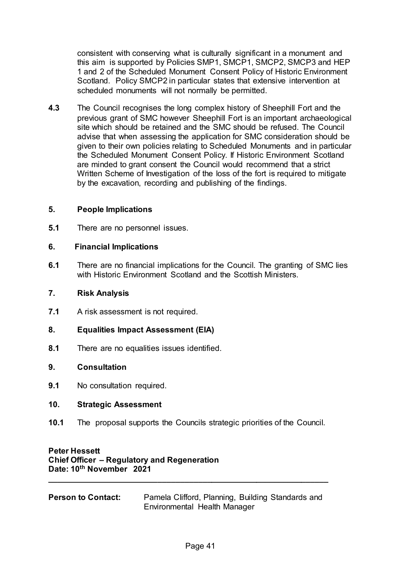consistent with conserving what is culturally significant in a monument and this aim is supported by Policies SMP1, SMCP1, SMCP2, SMCP3 and HEP 1 and 2 of the Scheduled Monument Consent Policy of Historic Environment Scotland. Policy SMCP2 in particular states that extensive intervention at scheduled monuments will not normally be permitted.

**4.3** The Council recognises the long complex history of Sheephill Fort and the previous grant of SMC however Sheephill Fort is an important archaeological site which should be retained and the SMC should be refused. The Council advise that when assessing the application for SMC consideration should be given to their own policies relating to Scheduled Monuments and in particular the Scheduled Monument Consent Policy. If Historic Environment Scotland are minded to grant consent the Council would recommend that a strict Written Scheme of Investigation of the loss of the fort is required to mitigate by the excavation, recording and publishing of the findings.

#### **5. People Implications**

**5.1** There are no personnel issues.

#### **6. Financial Implications**

**6.1** There are no financial implications for the Council. The granting of SMC lies with Historic Environment Scotland and the Scottish Ministers.

#### **7. Risk Analysis**

- **7.1** A risk assessment is not required.
- **8. Equalities Impact Assessment (EIA)**
- **8.1** There are no equalities issues identified.

#### **9. Consultation**

**9.1** No consultation required.

#### **10. Strategic Assessment**

**10.1** The proposal supports the Councils strategic priorities of the Council.

### **Peter Hessett Chief Officer – Regulatory and Regeneration Date: 10th November 2021**

**Person to Contact:** Pamela Clifford, Planning, Building Standards and Environmental Health Manager

**\_\_\_\_\_\_\_\_\_\_\_\_\_\_\_\_\_\_\_\_\_\_\_\_\_\_\_\_\_\_\_\_\_\_\_\_\_\_\_\_\_\_\_\_\_\_\_\_\_\_\_\_\_\_\_\_\_\_\_\_\_\_**